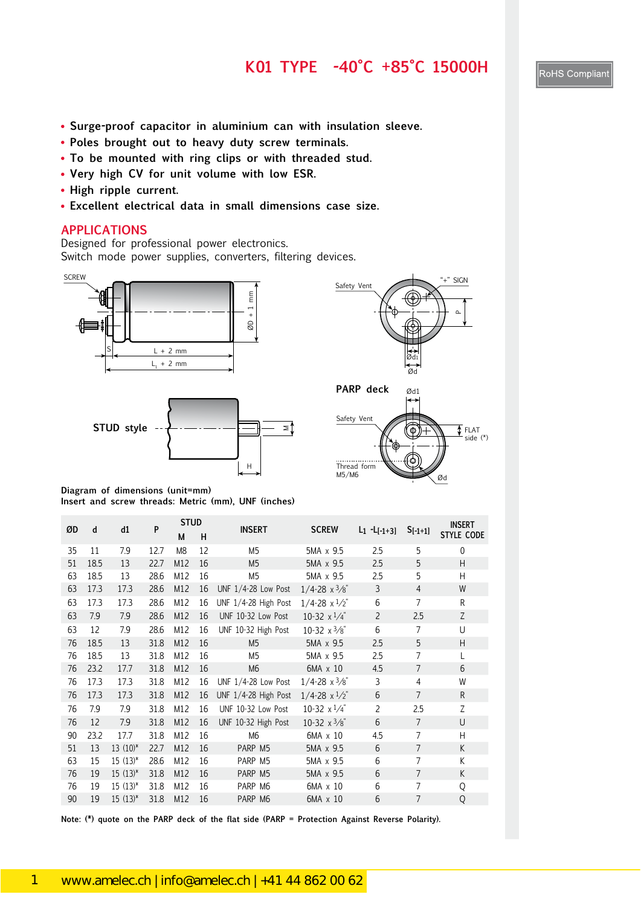### **K01 TYPE -40°C +85°C 15000H**

- **Surge-proof capacitor in aluminium can with insulation sleeve.**
- **Poles brought out to heavy duty screw terminals.**
- **To be mounted with ring clips or with threaded stud.**
- **Very high CV for unit volume with low ESR.**
- **High ripple current.**
- **Excellent electrical data in small dimensions case size.**

### **APPLICATIONS**

Designed for professional power electronics. Switch mode power supplies, converters, filtering devices.









**Diagram of dimensions (unit=mm) Insert and screw threads: Metric (mm), UNF (inches)**

| ØD | d    | d1           | P    | <b>STUD</b>    |    | <b>INSERT</b>        | <b>SCREW</b>                  |                 |                | <b>INSERT</b>     |
|----|------|--------------|------|----------------|----|----------------------|-------------------------------|-----------------|----------------|-------------------|
|    |      |              |      | M              | н  |                      |                               | $L_1 - L[-1+3]$ | $S[-1+1]$      | <b>STYLE CODE</b> |
| 35 | 11   | 7.9          | 12.7 | M <sub>8</sub> | 12 | M <sub>5</sub>       | 5MA x 9.5                     | 2.5             | 5              | $\mathbf{0}$      |
| 51 | 18.5 | 13           | 22.7 | M12            | 16 | M <sub>5</sub>       | 5MA x 9.5                     | 2.5             | 5              | H                 |
| 63 | 18.5 | 13           | 28.6 | M12            | 16 | M <sub>5</sub>       | 5MA x 9.5                     | 2.5             | 5              | H                 |
| 63 | 17.3 | 17.3         | 28.6 | M12            | 16 | UNF 1/4-28 Low Post  | $1/4 - 28 \times \frac{3}{8}$ | 3               | 4              | W                 |
| 63 | 17.3 | 17.3         | 28.6 | M12            | 16 | UNF 1/4-28 High Post | $1/4 - 28 \times \frac{1}{2}$ | 6               | 7              | R                 |
| 63 | 7.9  | 7.9          | 28.6 | M12            | 16 | UNF 10-32 Low Post   | 10-32 $x^{1/4}$               | $\overline{2}$  | 2.5            | Z                 |
| 63 | 12   | 7.9          | 28.6 | M12            | 16 | UNF 10-32 High Post  | 10-32 $x^3/s^4$               | 6               | $\overline{7}$ | U                 |
| 76 | 18.5 | 13           | 31.8 | M12            | 16 | M <sub>5</sub>       | 5MA x 9.5                     | 2.5             | 5              | H                 |
| 76 | 18.5 | 13           | 31.8 | M12            | 16 | M <sub>5</sub>       | 5MA x 9.5                     | 2.5             | $\overline{7}$ | L                 |
| 76 | 23.2 | 17.7         | 31.8 | M12            | 16 | M <sub>6</sub>       | 6MA x 10                      | 4.5             | 7              | 6                 |
| 76 | 17.3 | 17.3         | 31.8 | M12            | 16 | UNF 1/4-28 Low Post  | $1/4 - 28 \times \frac{3}{8}$ | 3               | 4              | W                 |
| 76 | 17.3 | 17.3         | 31.8 | M12            | 16 | UNF 1/4-28 High Post | $1/4 - 28 \times \frac{1}{2}$ | 6               | $\overline{7}$ | R                 |
| 76 | 7.9  | 7.9          | 31.8 | M12            | 16 | UNF 10-32 Low Post   | 10-32 $x^{1/4}$               | $\overline{2}$  | 2.5            | Z                 |
| 76 | 12   | 7.9          | 31.8 | M12            | 16 | UNF 10-32 High Post  | 10-32 $\times$ 3/8"           | 6               | $\overline{7}$ | U                 |
| 90 | 23.2 | 17.7         | 31.8 | M12            | 16 | M <sub>6</sub>       | 6MA x 10                      | 4.5             | 7              | H                 |
| 51 | 13   | $13(10)*$    | 22.7 | M12            | 16 | PARP M5              | 5MA x 9.5                     | 6               | $\overline{7}$ | K                 |
| 63 | 15   | $15(13)*$    | 28.6 | M12            | 16 | PARP M5              | 5MA x 9.5                     | 6               | $\overline{7}$ | К                 |
| 76 | 19   | $15(13)^{*}$ | 31.8 | M12            | 16 | PARP M5              | 5MA x 9.5                     | 6               | 7              | K                 |
| 76 | 19   | $15(13)^{*}$ | 31.8 | M12            | 16 | PARP M6              | 6MA x 10                      | 6               | 7              | Q                 |
| 90 | 19   | $15(13)^{*}$ | 31.8 | M12            | 16 | PARP M6              | 6MA x 10                      | 6               | 7              | Q                 |

**Note: (\*) quote on the PARP deck of the flat side (PARP = Protection Against Reverse Polarity).**

RoHS Compliant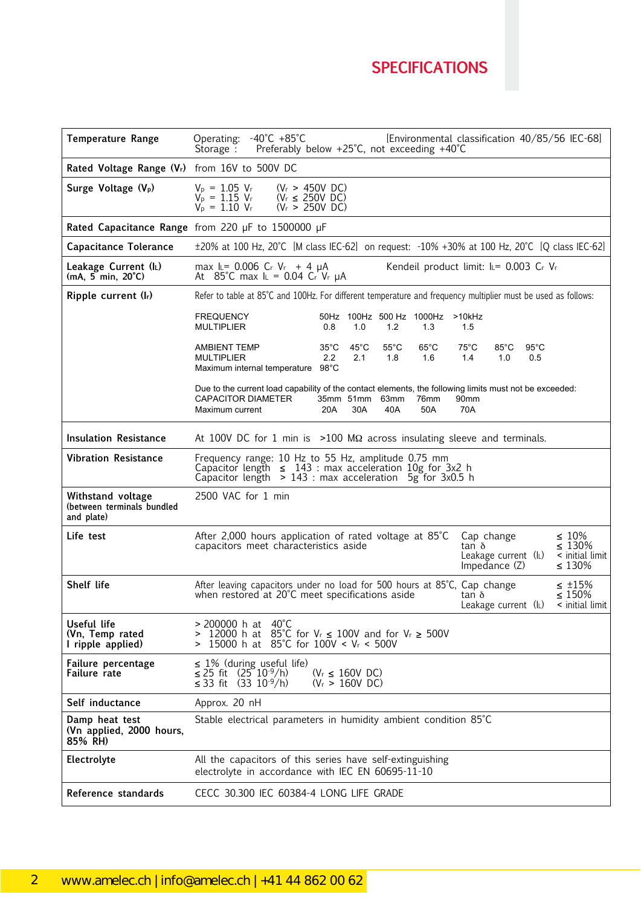## **SPECIFICATIONS**

| <b>Temperature Range</b>                                      | $-40^{\circ}$ C $+85^{\circ}$ C<br>[Environmental classification 40/85/56 IEC-68]<br>Operating:<br>Preferably below +25°C, not exceeding +40°C<br>Storage $\cdot$                                                                                            |
|---------------------------------------------------------------|--------------------------------------------------------------------------------------------------------------------------------------------------------------------------------------------------------------------------------------------------------------|
| Rated Voltage Range (Vr) from 16V to 500V DC                  |                                                                                                                                                                                                                                                              |
| Surge Voltage (V <sub>p</sub> )                               | $(V_r > 450V$ DC)<br>$V_p = 1.05 V_r$<br>$V_p = 1.15 V_r$<br>$(V_r \leq 250V$ DC)<br>$V_p = 1.10 V_r$<br>$(V_r > 250V$ DC)                                                                                                                                   |
|                                                               | Rated Capacitance Range from 220 µF to 1500000 µF                                                                                                                                                                                                            |
| <b>Capacitance Tolerance</b>                                  | ±20% at 100 Hz, 20°C [M class IEC-62] on request: -10% +30% at 100 Hz, 20°C [Q class IEC-62]                                                                                                                                                                 |
| Leakage Current (IL)<br>$(mA, 5 min, 20^{\circ}C)$            | max IL= 0.006 Cr Vr + 4 µA<br>Kendeil product limit: IL= 0.003 Cr Vr<br>At 85°C max $I_L$ = 0.04 Cr Vr $\mu$ A                                                                                                                                               |
| Ripple current (Ir)                                           | Refer to table at 85°C and 100Hz. For different temperature and frequency multiplier must be used as follows:                                                                                                                                                |
|                                                               | <b>FREQUENCY</b><br>50Hz 100Hz 500 Hz 1000Hz<br>>10kHz<br><b>MULTIPLIER</b><br>0.8<br>1.0<br>1.2<br>1.3<br>1.5                                                                                                                                               |
|                                                               | $35^{\circ}$ C<br>$45^{\circ}$ C<br>$55^{\circ}$ C<br>$65^{\circ}$ C<br>$75^{\circ}$ C<br>$85^{\circ}$ C<br>$95^{\circ}$ C<br><b>AMBIENT TEMP</b><br>2.2<br><b>MULTIPLIER</b><br>2.1<br>1.8<br>1.6<br>1.4<br>1.0<br>0.5<br>Maximum internal temperature 98°C |
|                                                               | Due to the current load capability of the contact elements, the following limits must not be exceeded:<br><b>CAPACITOR DIAMETER</b><br>35mm 51mm 63mm<br>76mm<br>90 <sub>mm</sub><br>70A<br>20A<br>30A<br>40A<br>50A<br>Maximum current                      |
| <b>Insulation Resistance</b>                                  | At 100V DC for 1 min is $>100$ M $\Omega$ across insulating sleeve and terminals.                                                                                                                                                                            |
| <b>Vibration Resistance</b>                                   | Frequency range: 10 Hz to 55 Hz, amplitude 0.75 mm<br>Capacitor length $\leq 143$ : max acceleration $10g$ for 3x2 h<br>Capacitor length $> 143$ : max acceleration 5g for 3x0.5 h                                                                           |
| Withstand voltage<br>(between terminals bundled<br>and plate) | 2500 VAC for 1 min                                                                                                                                                                                                                                           |
| Life test                                                     | $\leq 10\%$<br>After 2,000 hours application of rated voltage at 85°C<br>Cap change<br>capacitors meet characteristics aside<br>$\leq 130\%$<br>tan δ<br>< initial limit<br>Leakage current (IL)<br>Impedance $(Z)$<br>$\leq 130\%$                          |
| Shelf life                                                    | After leaving capacitors under no load for 500 hours at 85°C, Cap change<br>$\leq$ ±15%<br>when restored at 20°C meet specifications aside<br>$\leq 150\%$<br>tan δ<br>Leakage current (IL)<br>< initial limit                                               |
| Useful life<br>(Vn, Temp rated<br>I ripple applied)           | > 200000 h at 40°C<br>12000 h at 85°C for $V_r \le 100V$ and for $V_r \ge 500V$<br>⋗<br>15000 h at 85°C for 100V < V <sub>r</sub> < 500V                                                                                                                     |
| Failure percentage<br>Failure rate                            | $\leq$ 1% (during useful life)<br>≤ 25 fit $(25^{\circ}10^{\circ}9/h)$<br>$(V_r \leq 160V$ DC)<br>≤ 33 fit (33 10 <sup>-9</sup> /h)<br>$(V_r > 160V$ DC)                                                                                                     |
| Self inductance                                               | Approx. 20 nH                                                                                                                                                                                                                                                |
| Damp heat test<br>(Vn applied, 2000 hours,<br>85% RH)         | Stable electrical parameters in humidity ambient condition 85°C                                                                                                                                                                                              |
| <b>Electrolyte</b>                                            | All the capacitors of this series have self-extinguishing<br>electrolyte in accordance with IEC EN 60695-11-10                                                                                                                                               |
| Reference standards                                           | CECC 30.300 IEC 60384-4 LONG LIFE GRADE                                                                                                                                                                                                                      |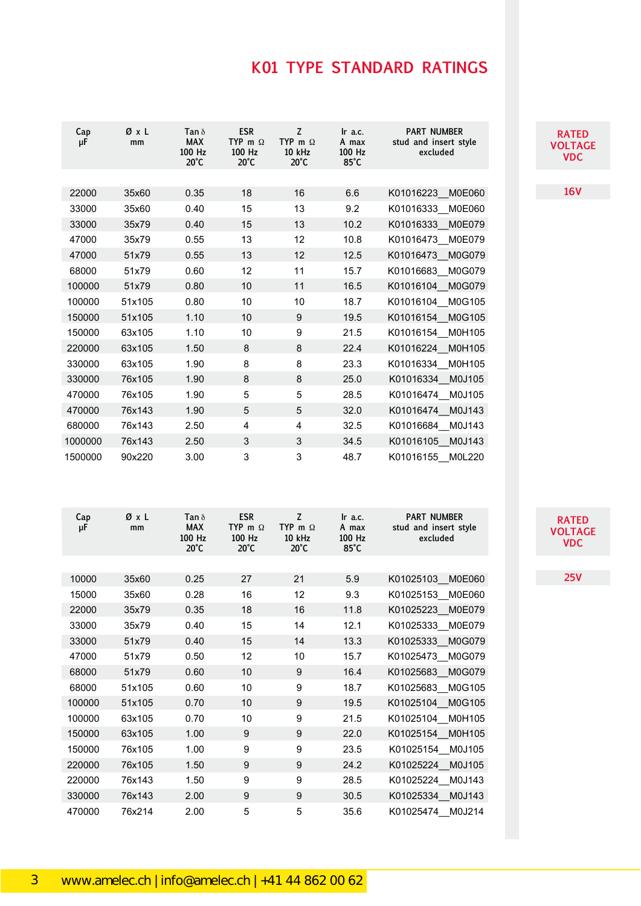| Cap<br>μF | ØχL<br>mm | Tan $\delta$<br><b>MAX</b><br>100 Hz<br>$20^{\circ}$ C | <b>ESR</b><br>TYP m $\Omega$<br>100 Hz<br>$20^{\circ}$ C | Z<br>TYP m $\Omega$<br><b>10 kHz</b><br>$20^{\circ}$ C | $\ln$ a.c.<br>A max<br>100 Hz<br>$85^{\circ}$ C | <b>PART NUMBER</b><br>stud and insert style<br>excluded |
|-----------|-----------|--------------------------------------------------------|----------------------------------------------------------|--------------------------------------------------------|-------------------------------------------------|---------------------------------------------------------|
|           |           |                                                        |                                                          |                                                        |                                                 |                                                         |
| 22000     | 35x60     | 0.35                                                   | 18                                                       | 16                                                     | 6.6                                             | K01016223<br>M0E060                                     |
| 33000     | 35x60     | 0.40                                                   | 15                                                       | 13                                                     | 9.2                                             | K01016333 M0E060                                        |
| 33000     | 35x79     | 0.40                                                   | 15                                                       | 13                                                     | 10.2                                            | K01016333<br>M0E079                                     |
| 47000     | 35x79     | 0.55                                                   | 13                                                       | 12                                                     | 10.8                                            | K01016473 M0E079                                        |
| 47000     | 51x79     | 0.55                                                   | 13                                                       | 12                                                     | 12.5                                            | K01016473<br>M0G079                                     |
| 68000     | 51x79     | 0.60                                                   | 12                                                       | 11                                                     | 15.7                                            | K01016683 M0G079                                        |
| 100000    | 51x79     | 0.80                                                   | 10                                                       | 11                                                     | 16.5                                            | K01016104 M0G079                                        |
| 100000    | 51x105    | 0.80                                                   | 10                                                       | 10                                                     | 18.7                                            | K01016104 M0G105                                        |
| 150000    | 51x105    | 1.10                                                   | 10                                                       | 9                                                      | 19.5                                            | K01016154 M0G105                                        |
| 150000    | 63x105    | 1.10                                                   | 10                                                       | 9                                                      | 21.5                                            | K01016154 M0H105                                        |
| 220000    | 63x105    | 1.50                                                   | 8                                                        | 8                                                      | 22.4                                            | K01016224 M0H105                                        |
| 330000    | 63x105    | 1.90                                                   | 8                                                        | 8                                                      | 23.3                                            | K01016334 M0H105                                        |
| 330000    | 76x105    | 1.90                                                   | 8                                                        | 8                                                      | 25.0                                            | K01016334 M0J105                                        |
| 470000    | 76x105    | 1.90                                                   | 5                                                        | 5                                                      | 28.5                                            | K01016474 M0J105                                        |
| 470000    | 76x143    | 1.90                                                   | 5                                                        | 5                                                      | 32.0                                            | K01016474<br>M0J143                                     |
| 680000    | 76x143    | 2.50                                                   | 4                                                        | 4                                                      | 32.5                                            | K01016684 M0J143                                        |
| 1000000   | 76x143    | 2.50                                                   | 3                                                        | 3                                                      | 34.5                                            | K01016105<br>M0J143                                     |
| 1500000   | 90x220    | 3.00                                                   | 3                                                        | 3                                                      | 48.7                                            | K01016155<br>M0L220                                     |

| Cap<br>μF | ØxL<br>mm | Tan $\delta$<br><b>MAX</b><br>100 Hz<br>$20^{\circ}$ C | <b>ESR</b><br>TYP m $\Omega$<br>100 Hz<br>$20^{\circ}$ C | Z<br>TYP m $\Omega$<br>10 kHz<br>$20^{\circ}$ C | Ir a.c.<br>A max<br>100 Hz<br>$85^{\circ}$ C | <b>PART NUMBER</b><br>stud and insert style<br>excluded |
|-----------|-----------|--------------------------------------------------------|----------------------------------------------------------|-------------------------------------------------|----------------------------------------------|---------------------------------------------------------|
|           |           |                                                        |                                                          |                                                 |                                              |                                                         |
| 10000     | 35x60     | 0.25                                                   | 27                                                       | 21                                              | 5.9                                          | K01025103 M0E060                                        |
| 15000     | 35x60     | 0.28                                                   | 16                                                       | 12                                              | 9.3                                          | K01025153 M0E060                                        |
| 22000     | 35x79     | 0.35                                                   | 18                                                       | 16                                              | 11.8                                         | K01025223<br>M0E079                                     |
| 33000     | 35x79     | 0.40                                                   | 15                                                       | 14                                              | 12.1                                         | K01025333<br>M0E079                                     |
| 33000     | 51x79     | 0.40                                                   | 15                                                       | 14                                              | 13.3                                         | K01025333<br>M0G079                                     |
| 47000     | 51x79     | 0.50                                                   | 12                                                       | 10                                              | 15.7                                         | K01025473<br>M0G079                                     |
| 68000     | 51x79     | 0.60                                                   | 10                                                       | 9                                               | 16.4                                         | K01025683<br>M0G079                                     |
| 68000     | 51x105    | 0.60                                                   | 10                                                       | 9                                               | 18.7                                         | K01025683 M0G105                                        |
| 100000    | 51x105    | 0.70                                                   | 10                                                       | 9                                               | 19.5                                         | K01025104<br>M0G105                                     |
| 100000    | 63x105    | 0.70                                                   | 10                                                       | 9                                               | 21.5                                         | K01025104<br>M0H105                                     |
| 150000    | 63x105    | 1.00                                                   | 9                                                        | 9                                               | 22.0                                         | K01025154<br>M0H105                                     |
| 150000    | 76x105    | 1.00                                                   | 9                                                        | 9                                               | 23.5                                         | K01025154 M0J105                                        |
| 220000    | 76x105    | 1.50                                                   | 9                                                        | 9                                               | 24.2                                         | K01025224<br>M0J105                                     |
| 220000    | 76x143    | 1.50                                                   | 9                                                        | 9                                               | 28.5                                         | K01025224<br>M0J143                                     |
| 330000    | 76x143    | 2.00                                                   | 9                                                        | 9                                               | 30.5                                         | K01025334<br>M0J143                                     |
| 470000    | 76x214    | 2.00                                                   | 5                                                        | 5                                               | 35.6                                         | K01025474<br>M0J214                                     |

#### **RATFI VOLTAGE VDC RATE VOLTAGE VDC**

**16V 16V**

**RATFI VOLTAGE VDC RATE VOLTAGE VDC**

**25V 25V**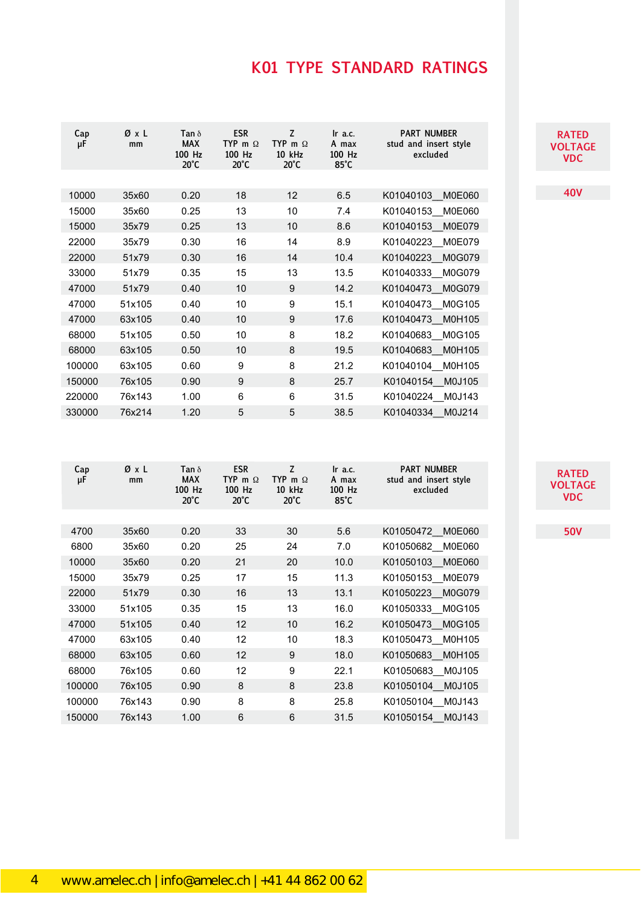| Cap<br>μF | ØxL<br>mm | Tan $\delta$<br><b>MAX</b><br>100 Hz<br>$20^{\circ}$ C | <b>ESR</b><br>TYP m $\Omega$<br>100 Hz<br>$20^{\circ}$ C | Z<br>TYP m $\Omega$<br>10 kHz<br>$20^{\circ}$ C | Ir a.c.<br>A max<br>$100$ Hz<br>$85^{\circ}$ C | <b>PART NUMBER</b><br>stud and insert style<br>excluded |
|-----------|-----------|--------------------------------------------------------|----------------------------------------------------------|-------------------------------------------------|------------------------------------------------|---------------------------------------------------------|
|           |           |                                                        |                                                          |                                                 |                                                |                                                         |
| 10000     | 35x60     | 0.20                                                   | 18                                                       | 12                                              | 6.5                                            | K01040103<br>M0E060                                     |
| 15000     | 35x60     | 0.25                                                   | 13                                                       | 10                                              | 7.4                                            | K01040153 M0E060                                        |
| 15000     | 35x79     | 0.25                                                   | 13                                                       | 10                                              | 8.6                                            | <b>M0E079</b><br>K01040153                              |
| 22000     | 35x79     | 0.30                                                   | 16                                                       | 14                                              | 8.9                                            | K01040223<br>M0E079                                     |
| 22000     | 51x79     | 0.30                                                   | 16                                                       | 14                                              | 10.4                                           | K01040223<br>M0G079                                     |
| 33000     | 51x79     | 0.35                                                   | 15                                                       | 13                                              | 13.5                                           | K01040333 M0G079                                        |
| 47000     | 51x79     | 0.40                                                   | 10                                                       | 9                                               | 14.2                                           | M0G079<br>K01040473                                     |
| 47000     | 51x105    | 0.40                                                   | 10                                                       | 9                                               | 15.1                                           | K01040473<br>M0G105                                     |
| 47000     | 63x105    | 0.40                                                   | 10                                                       | 9                                               | 17.6                                           | K01040473<br>M0H105                                     |
| 68000     | 51x105    | 0.50                                                   | 10                                                       | 8                                               | 18.2                                           | K01040683 M0G105                                        |
| 68000     | 63x105    | 0.50                                                   | 10                                                       | 8                                               | 19.5                                           | K01040683<br>M0H105                                     |
| 100000    | 63x105    | 0.60                                                   | 9                                                        | 8                                               | 21.2                                           | K01040104 M0H105                                        |
| 150000    | 76x105    | 0.90                                                   | 9                                                        | 8                                               | 25.7                                           | K01040154<br>M0J105                                     |
| 220000    | 76x143    | 1.00                                                   | 6                                                        | 6                                               | 31.5                                           | K01040224 M0J143                                        |
| 330000    | 76x214    | 1.20                                                   | 5                                                        | 5                                               | 38.5                                           | K01040334<br>M0J214                                     |

| Cap<br>μF | ØχL<br>mm | Tan $\delta$<br><b>MAX</b><br>100 Hz<br>$20^{\circ}$ C | <b>ESR</b><br>TYP m $\Omega$<br>100 Hz<br>$20^{\circ}$ C | Z<br>TYP m $\Omega$<br>10 kHz<br>$20^{\circ}$ C | Ir a.c.<br>A max<br>100 Hz<br>$85^{\circ}$ C | <b>PART NUMBER</b><br>stud and insert style<br>excluded |
|-----------|-----------|--------------------------------------------------------|----------------------------------------------------------|-------------------------------------------------|----------------------------------------------|---------------------------------------------------------|
|           |           |                                                        |                                                          |                                                 |                                              |                                                         |
| 4700      | 35x60     | 0.20                                                   | 33                                                       | 30                                              | 5.6                                          | K01050472<br>M0E060                                     |
| 6800      | 35x60     | 0.20                                                   | 25                                                       | 24                                              | 7.0                                          | K01050682 M0E060                                        |
| 10000     | 35x60     | 0.20                                                   | 21                                                       | 20                                              | 10.0                                         | K01050103 M0E060                                        |
| 15000     | 35x79     | 0.25                                                   | 17                                                       | 15                                              | 11.3                                         | K01050153 M0E079                                        |
| 22000     | 51x79     | 0.30                                                   | 16                                                       | 13                                              | 13.1                                         | K01050223 M0G079                                        |
| 33000     | 51x105    | 0.35                                                   | 15                                                       | 13                                              | 16.0                                         | K01050333 M0G105                                        |
| 47000     | 51x105    | 0.40                                                   | 12                                                       | 10                                              | 16.2                                         | K01050473 M0G105                                        |
| 47000     | 63x105    | 0.40                                                   | 12                                                       | 10                                              | 18.3                                         | K01050473<br>M0H105                                     |
| 68000     | 63x105    | 0.60                                                   | 12                                                       | 9                                               | 18.0                                         | K01050683 M0H105                                        |
| 68000     | 76x105    | 0.60                                                   | 12                                                       | 9                                               | 22.1                                         | K01050683 M0J105                                        |
| 100000    | 76x105    | 0.90                                                   | 8                                                        | 8                                               | 23.8                                         | K01050104<br>M0J105                                     |
| 100000    | 76x143    | 0.90                                                   | 8                                                        | 8                                               | 25.8                                         | K01050104 M0J143                                        |
| 150000    | 76x143    | 1.00                                                   | 6                                                        | 6                                               | 31.5                                         | K01050154<br>M0J143                                     |

**RATED RATED VOLTAGE VDC VOLTAGE VDC**

**40V 40V**

**RATED VOLTAGE VOLTAGE VDC VDC**

**50V 50V**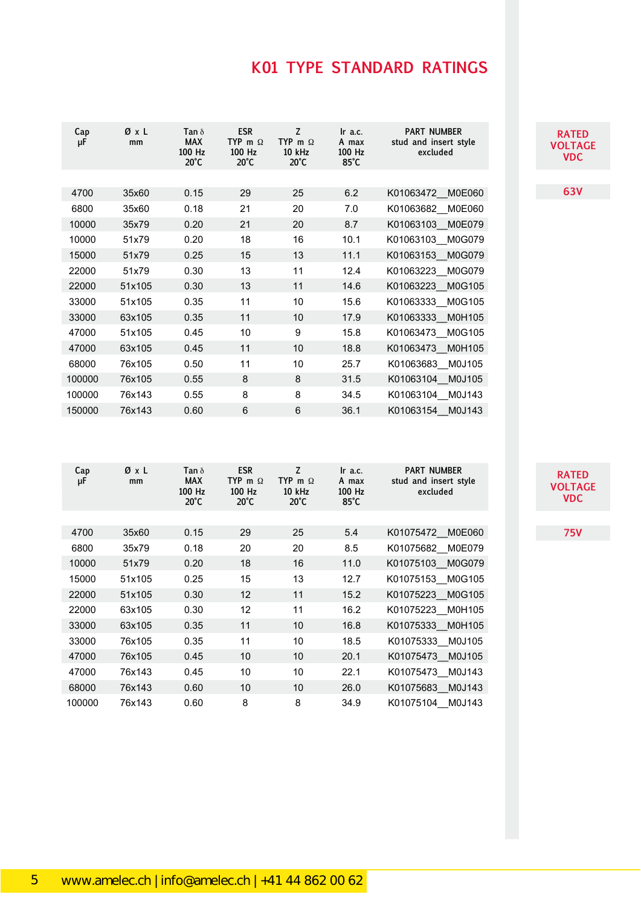| Cap<br>μF | ØxL<br>mm | Tan $\delta$<br><b>MAX</b><br>100 Hz<br>$20^{\circ}$ C | <b>ESR</b><br>TYP m $\Omega$<br>100 Hz<br>$20^{\circ}$ C | Z<br>TYP m $\Omega$<br>10 kHz<br>$20^{\circ}$ C | $\ln$ a.c.<br>A max<br>100 Hz<br>$85^{\circ}$ C | <b>PART NUMBER</b><br>stud and insert style<br>excluded |
|-----------|-----------|--------------------------------------------------------|----------------------------------------------------------|-------------------------------------------------|-------------------------------------------------|---------------------------------------------------------|
|           |           |                                                        |                                                          |                                                 |                                                 |                                                         |
| 4700      | 35x60     | 0.15                                                   | 29                                                       | 25                                              | 6.2                                             | K01063472 M0E060                                        |
| 6800      | 35x60     | 0.18                                                   | 21                                                       | 20                                              | 7.0                                             | K01063682<br>M0E060                                     |
| 10000     | 35x79     | 0.20                                                   | 21                                                       | 20                                              | 8.7                                             | K01063103<br><b>M0E079</b>                              |
| 10000     | 51x79     | 0.20                                                   | 18                                                       | 16                                              | 10.1                                            | K01063103<br>M0G079                                     |
| 15000     | 51x79     | 0.25                                                   | 15                                                       | 13                                              | 11.1                                            | K01063153<br>M0G079                                     |
| 22000     | 51x79     | 0.30                                                   | 13                                                       | 11                                              | 12.4                                            | M0G079<br>K01063223                                     |
| 22000     | 51x105    | 0.30                                                   | 13                                                       | 11                                              | 14.6                                            | K01063223<br>M0G105                                     |
| 33000     | 51x105    | 0.35                                                   | 11                                                       | 10                                              | 15.6                                            | K01063333 M0G105                                        |
| 33000     | 63x105    | 0.35                                                   | 11                                                       | 10                                              | 17.9                                            | K01063333 M0H105                                        |
| 47000     | 51x105    | 0.45                                                   | 10                                                       | 9                                               | 15.8                                            | K01063473 M0G105                                        |
| 47000     | 63x105    | 0.45                                                   | 11                                                       | 10                                              | 18.8                                            | K01063473 M0H105                                        |
| 68000     | 76x105    | 0.50                                                   | 11                                                       | 10                                              | 25.7                                            | K01063683 M0J105                                        |
| 100000    | 76x105    | 0.55                                                   | 8                                                        | 8                                               | 31.5                                            | K01063104<br>M0J105                                     |
| 100000    | 76x143    | 0.55                                                   | 8                                                        | 8                                               | 34.5                                            | K01063104 M0J143                                        |
| 150000    | 76x143    | 0.60                                                   | 6                                                        | 6                                               | 36.1                                            | K01063154<br>M0J143                                     |

| Cap<br>μF | ØxL<br>mm | Tan $\delta$<br><b>MAX</b><br>100 Hz<br>$20^{\circ}$ C | <b>ESR</b><br>TYP m $\Omega$<br>100 Hz<br>$20^{\circ}$ C | Z<br>TYP m $\Omega$<br><b>10 kHz</b><br>$20^{\circ}$ C | Ir a.c.<br>A max<br>100 Hz<br>$85^{\circ}$ C | <b>PART NUMBER</b><br>stud and insert style<br>excluded |
|-----------|-----------|--------------------------------------------------------|----------------------------------------------------------|--------------------------------------------------------|----------------------------------------------|---------------------------------------------------------|
|           |           |                                                        |                                                          |                                                        |                                              |                                                         |
| 4700      | 35x60     | 0.15                                                   | 29                                                       | 25                                                     | 5.4                                          | K01075472 M0E060                                        |
| 6800      | 35x79     | 0.18                                                   | 20                                                       | 20                                                     | 8.5                                          | K01075682 M0E079                                        |
| 10000     | 51x79     | 0.20                                                   | 18                                                       | 16                                                     | 11.0                                         | K01075103 M0G079                                        |
| 15000     | 51x105    | 0.25                                                   | 15                                                       | 13                                                     | 12.7                                         | K01075153_M0G105                                        |
| 22000     | 51x105    | 0.30                                                   | 12                                                       | 11                                                     | 15.2                                         | K01075223 M0G105                                        |
| 22000     | 63x105    | 0.30                                                   | 12                                                       | 11                                                     | 16.2                                         | K01075223_M0H105                                        |
| 33000     | 63x105    | 0.35                                                   | 11                                                       | 10                                                     | 16.8                                         | K01075333 M0H105                                        |
| 33000     | 76x105    | 0.35                                                   | 11                                                       | 10                                                     | 18.5                                         | K01075333 M0J105                                        |
| 47000     | 76x105    | 0.45                                                   | 10                                                       | 10                                                     | 20.1                                         | K01075473 M0J105                                        |
| 47000     | 76x143    | 0.45                                                   | 10                                                       | 10                                                     | 22.1                                         | K01075473 M0J143                                        |
| 68000     | 76x143    | 0.60                                                   | 10                                                       | 10                                                     | 26.0                                         | K01075683 M0J143                                        |
| 100000    | 76x143    | 0.60                                                   | 8                                                        | 8                                                      | 34.9                                         | K01075104 M0J143                                        |

**RATE VOLTAGE VDC RATE VOLTAGE VDC**

**63V 63V**

**RATE VOLTAGE VOLTAGE VDC**

**75V 75V**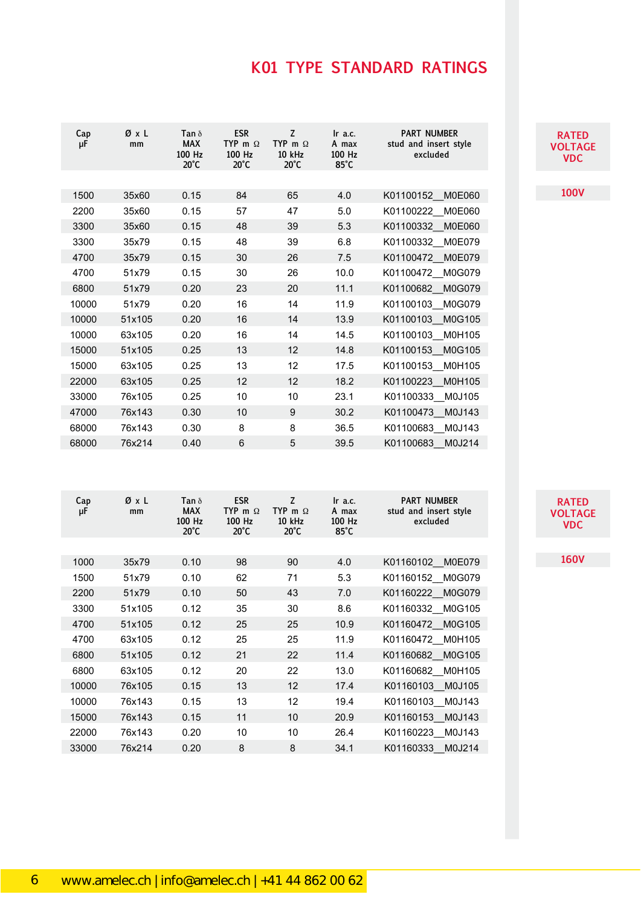| Cap<br>μF | ØxL<br>mm | Tan $\delta$<br><b>MAX</b><br>100 Hz<br>$20^{\circ}$ C | <b>ESR</b><br>TYP m $\Omega$<br>100 Hz<br>$20^{\circ}$ C | Z<br>TYP m $\Omega$<br><b>10 kHz</b><br>$20^{\circ}$ C | Ir a.c.<br>A max<br>100 Hz<br>$85^{\circ}$ C | <b>PART NUMBER</b><br>stud and insert style<br>excluded |
|-----------|-----------|--------------------------------------------------------|----------------------------------------------------------|--------------------------------------------------------|----------------------------------------------|---------------------------------------------------------|
|           |           |                                                        |                                                          |                                                        |                                              |                                                         |
| 1500      | 35x60     | 0.15                                                   | 84                                                       | 65                                                     | 4.0                                          | K01100152<br><b>M0E060</b>                              |
| 2200      | 35x60     | 0.15                                                   | 57                                                       | 47                                                     | 5.0                                          | K01100222<br><b>M0E060</b>                              |
| 3300      | 35x60     | 0.15                                                   | 48                                                       | 39                                                     | 5.3                                          | K01100332<br><b>M0E060</b>                              |
| 3300      | 35x79     | 0.15                                                   | 48                                                       | 39                                                     | 6.8                                          | K01100332<br>M0E079                                     |
| 4700      | 35x79     | 0.15                                                   | 30                                                       | 26                                                     | 7.5                                          | K01100472<br><b>M0E079</b>                              |
| 4700      | 51x79     | 0.15                                                   | 30                                                       | 26                                                     | 10.0                                         | K01100472<br>M0G079                                     |
| 6800      | 51x79     | 0.20                                                   | 23                                                       | 20                                                     | 11.1                                         | K01100682<br>M0G079                                     |
| 10000     | 51x79     | 0.20                                                   | 16                                                       | 14                                                     | 11.9                                         | K01100103<br>M0G079                                     |
| 10000     | 51x105    | 0.20                                                   | 16                                                       | 14                                                     | 13.9                                         | K01100103<br>M0G105                                     |
| 10000     | 63x105    | 0.20                                                   | 16                                                       | 14                                                     | 14.5                                         | K01100103<br>M0H105                                     |
| 15000     | 51x105    | 0.25                                                   | 13                                                       | 12                                                     | 14.8                                         | K01100153<br>M0G105                                     |
| 15000     | 63x105    | 0.25                                                   | 13                                                       | 12                                                     | 17.5                                         | K01100153 M0H105                                        |
| 22000     | 63x105    | 0.25                                                   | 12                                                       | 12                                                     | 18.2                                         | M0H105<br>K01100223                                     |
| 33000     | 76x105    | 0.25                                                   | 10                                                       | 10                                                     | 23.1                                         | K01100333<br>M0J105                                     |
| 47000     | 76x143    | 0.30                                                   | 10                                                       | 9                                                      | 30.2                                         | K01100473<br>M0J143                                     |
| 68000     | 76x143    | 0.30                                                   | 8                                                        | 8                                                      | 36.5                                         | K01100683<br>M0J143                                     |
| 68000     | 76x214    | 0.40                                                   | 6                                                        | 5                                                      | 39.5                                         | K01100683<br>M0J214                                     |

| Cap<br>μF | ØxL<br>mm | Tan $\delta$<br><b>MAX</b><br>100 Hz<br>$20^{\circ}$ C | <b>ESR</b><br>TYP m $\Omega$<br>100 Hz<br>$20^{\circ}$ C | Z<br>TYP m $\Omega$<br>10 kHz<br>$20^{\circ}$ C | $\ln$ a.c.<br>A max<br>100 Hz<br>$85^{\circ}$ C | <b>PART NUMBER</b><br>stud and insert style<br>excluded |
|-----------|-----------|--------------------------------------------------------|----------------------------------------------------------|-------------------------------------------------|-------------------------------------------------|---------------------------------------------------------|
|           |           |                                                        |                                                          |                                                 |                                                 |                                                         |
| 1000      | 35x79     | 0.10                                                   | 98                                                       | 90                                              | 4.0                                             | K01160102 M0E079                                        |
| 1500      | 51x79     | 0.10                                                   | 62                                                       | 71                                              | 5.3                                             | K01160152 M0G079                                        |
| 2200      | 51x79     | 0.10                                                   | 50                                                       | 43                                              | 7.0                                             | K01160222 M0G079                                        |
| 3300      | 51x105    | 0.12                                                   | 35                                                       | 30                                              | 8.6                                             | K01160332 M0G105                                        |
| 4700      | 51x105    | 0.12                                                   | 25                                                       | 25                                              | 10.9                                            | K01160472 M0G105                                        |
| 4700      | 63x105    | 0.12                                                   | 25                                                       | 25                                              | 11.9                                            | K01160472 M0H105                                        |
| 6800      | 51x105    | 0.12                                                   | 21                                                       | 22                                              | 11.4                                            | K01160682 M0G105                                        |
| 6800      | 63x105    | 0.12                                                   | 20                                                       | 22                                              | 13.0                                            | K01160682 M0H105                                        |
| 10000     | 76x105    | 0.15                                                   | 13                                                       | 12                                              | 17.4                                            | K01160103 M0J105                                        |
| 10000     | 76x143    | 0.15                                                   | 13                                                       | 12                                              | 19.4                                            | K01160103 M0J143                                        |
| 15000     | 76x143    | 0.15                                                   | 11                                                       | 10                                              | 20.9                                            | M0J143<br>K01160153                                     |
| 22000     | 76x143    | 0.20                                                   | 10                                                       | 10                                              | 26.4                                            | K01160223 M0J143                                        |
| 33000     | 76x214    | 0.20                                                   | 8                                                        | 8                                               | 34.1                                            | K01160333 M0J214                                        |

### **RATED RATED VOLTAGE VDC VOLTAGE VDC**

**100V 100V**

**RATED RATED VOLTAGE VDC VOLTAGE VDC**

**160V 160V**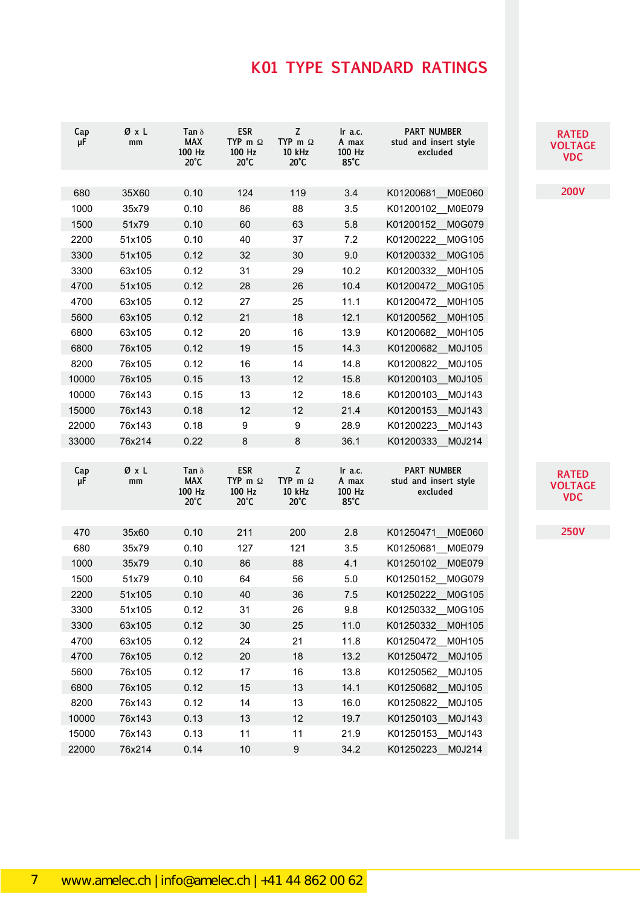| Cap<br>μF | ØxL<br>mm        | Tan $\delta$<br><b>MAX</b><br>100 Hz<br>$20^{\circ}$ C | <b>ESR</b><br>TYP m $\Omega$<br>100 Hz<br>$20^{\circ}$ C | Z<br>TYP m $\Omega$<br>10 kHz<br>$20^{\circ}$ C | Ir a.c.<br>A max<br>100 Hz<br>$85^{\circ}$ C | <b>PART NUMBER</b><br>stud and insert style<br>excluded | <b>RATED</b><br><b>VOLTAGE</b><br><b>VDC</b> |
|-----------|------------------|--------------------------------------------------------|----------------------------------------------------------|-------------------------------------------------|----------------------------------------------|---------------------------------------------------------|----------------------------------------------|
| 680       | 35X60            | 0.10                                                   | 124                                                      | 119                                             | 3.4                                          | K01200681 M0E060                                        | <b>200V</b>                                  |
| 1000      | 35x79            | 0.10                                                   | 86                                                       | 88                                              | 3.5                                          | K01200102 M0E079                                        |                                              |
| 1500      | 51x79            | 0.10                                                   | 60                                                       | 63                                              | 5.8                                          | K01200152 M0G079                                        |                                              |
| 2200      | 51x105           | 0.10                                                   | 40                                                       | 37                                              | 7.2                                          | K01200222 M0G105                                        |                                              |
| 3300      | 51x105           | 0.12                                                   | 32                                                       | 30                                              | 9.0                                          | K01200332<br>M0G105                                     |                                              |
| 3300      | 63x105           | 0.12                                                   | 31                                                       | 29                                              | 10.2                                         | K01200332 M0H105                                        |                                              |
| 4700      | 51x105           | 0.12                                                   | 28                                                       | 26                                              | 10.4                                         | K01200472<br>M0G105                                     |                                              |
| 4700      | 63x105           | 0.12                                                   | 27                                                       | 25                                              | 11.1                                         | K01200472<br>M0H105                                     |                                              |
| 5600      | 63x105           | 0.12                                                   | 21                                                       | 18                                              | 12.1                                         | K01200562 M0H105                                        |                                              |
| 6800      | 63x105           | 0.12                                                   | 20                                                       | 16                                              | 13.9                                         | K01200682 M0H105                                        |                                              |
| 6800      | 76x105           | 0.12                                                   | 19                                                       | 15                                              | 14.3                                         | K01200682 M0J105                                        |                                              |
| 8200      | 76x105           | 0.12                                                   | 16                                                       | 14                                              | 14.8                                         | K01200822 M0J105                                        |                                              |
| 10000     | 76x105           | 0.15                                                   | 13                                                       | 12                                              | 15.8                                         | K01200103 M0J105                                        |                                              |
| 10000     | 76x143           | 0.15                                                   | 13                                                       | 12                                              | 18.6                                         | K01200103 M0J143                                        |                                              |
| 15000     | 76x143           | 0.18                                                   | 12                                                       | 12                                              | 21.4                                         | K01200153<br>M0J143                                     |                                              |
| 22000     | 76x143           | 0.18                                                   | 9                                                        | 9                                               | 28.9                                         | K01200223 M0J143                                        |                                              |
| 33000     | 76x214           | 0.22                                                   | 8                                                        | 8                                               | 36.1                                         | K01200333<br>M0J214                                     |                                              |
| Cap<br>μF | ØxL<br>mm        | Tan $\delta$<br><b>MAX</b><br>100 Hz<br>$20^{\circ}$ C | <b>ESR</b><br>TYP m $\Omega$<br>100 Hz<br>$20^{\circ}$ C | Z<br>TYP m $\Omega$<br>10 kHz<br>$20^{\circ}$ C | Ir a.c.<br>A max<br>100 Hz<br>$85^{\circ}$ C | <b>PART NUMBER</b><br>stud and insert style<br>excluded | <b>RATED</b><br><b>VOLTAGE</b><br><b>VDC</b> |
| 470       | 35x60            | 0.10                                                   | 211                                                      | 200                                             | 2.8                                          | K01250471<br><b>M0E060</b>                              | <b>250V</b>                                  |
| 680       | 35x79            | 0.10                                                   | 127                                                      | 121                                             | 3.5                                          | K01250681 M0E079                                        |                                              |
| 1000      | 35x79            | 0.10                                                   | 86                                                       | 88                                              | 4.1                                          | K01250102 M0E079                                        |                                              |
| 1500      | 51x79            | 0.10                                                   | 64                                                       | 56                                              | 5.0                                          | K01250152<br>M0G079                                     |                                              |
| 2200      | 51x105           | 0.10                                                   | 40                                                       | 36                                              | 7.5                                          | K01250222<br>M0G105                                     |                                              |
| 3300      | 51x105           | 0.12                                                   | 31                                                       | 26                                              | 9.8                                          | K01250332 M0G105                                        |                                              |
| 3300      | 63x105           | 0.12                                                   | 30                                                       | 25                                              | 11.0                                         | K01250332 M0H105                                        |                                              |
| 4700      | 63x105           | 0.12                                                   | 24                                                       | 21                                              | 11.8                                         | K01250472 M0H105                                        |                                              |
| 4700      | 76x105           | 0.12                                                   | 20                                                       | 18                                              | 13.2                                         | K01250472 M0J105                                        |                                              |
| 5600      | 76x105           | 0.12                                                   | 17                                                       | 16                                              | 13.8                                         | K01250562 M0J105                                        |                                              |
| 6800      | 76x105           | 0.12                                                   | 15                                                       | 13                                              | 14.1                                         | K01250682 M0J105                                        |                                              |
| 8200      | 76x143           | 0.12                                                   | 14                                                       | 13                                              | 16.0                                         | K01250822 M0J105                                        |                                              |
| 10000     | 76x143           | 0.13                                                   | 13                                                       | 12                                              | 19.7                                         | K01250103 M0J143                                        |                                              |
| 15000     |                  |                                                        |                                                          |                                                 |                                              |                                                         |                                              |
|           |                  |                                                        |                                                          |                                                 |                                              |                                                         |                                              |
| 22000     | 76x143<br>76x214 | 0.13<br>0.14                                           | 11<br>$10$                                               | 11<br>9                                         | 21.9<br>34.2                                 | K01250153 M0J143<br>K01250223 M0J214                    |                                              |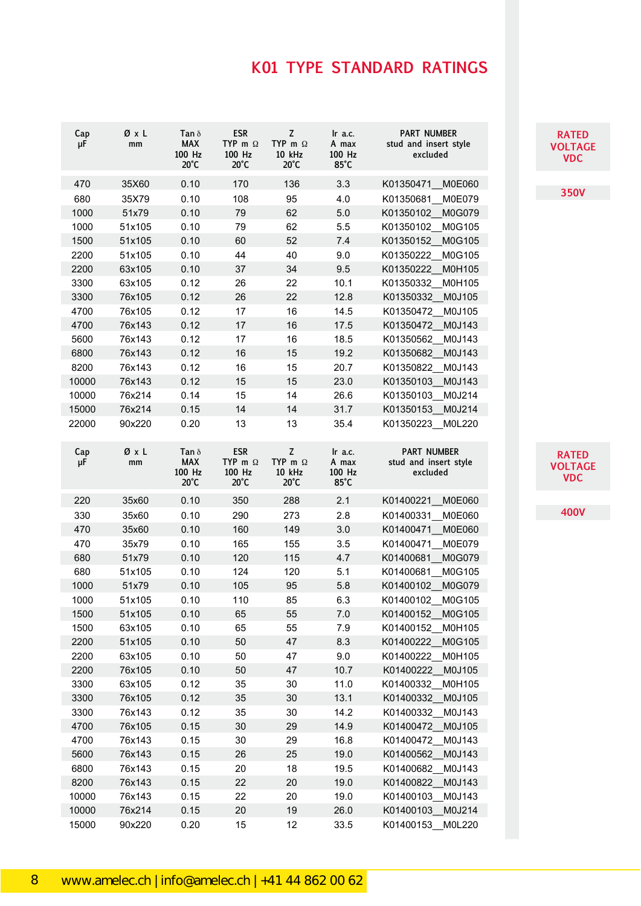| Cap<br>μF | ØχL<br>mm | Tan $\delta$<br><b>MAX</b><br>100 Hz<br>$20^{\circ}$ C | <b>ESR</b><br>TYP m $\Omega$<br>100 Hz<br>$20^{\circ}$ C | Z<br>TYP m $\Omega$<br>10 kHz<br>$20^{\circ}$ C | Ir a.c.<br>A max<br>100 Hz<br>$85^{\circ}$ C | <b>PART NUMBER</b><br>stud and insert style<br>excluded |
|-----------|-----------|--------------------------------------------------------|----------------------------------------------------------|-------------------------------------------------|----------------------------------------------|---------------------------------------------------------|
| 470       | 35X60     | 0.10                                                   | 170                                                      | 136                                             | 3.3                                          | K01350471<br>M0E060                                     |
| 680       | 35X79     | 0.10                                                   | 108                                                      | 95                                              | 4.0                                          | M0E079<br>K01350681                                     |
| 1000      | 51x79     | 0.10                                                   | 79                                                       | 62                                              | 5.0                                          | K01350102<br>M0G079                                     |
| 1000      | 51x105    | 0.10                                                   | 79                                                       | 62                                              | 5.5                                          | K01350102<br>M0G105                                     |
| 1500      | 51x105    | 0.10                                                   | 60                                                       | 52                                              | 7.4                                          | M0G105<br>K01350152                                     |
| 2200      | 51x105    | 0.10                                                   | 44                                                       | 40                                              | 9.0                                          | K01350222<br>M0G105                                     |
| 2200      | 63x105    | 0.10                                                   | 37                                                       | 34                                              | 9.5                                          | K01350222<br>M0H105                                     |
| 3300      | 63x105    | 0.12                                                   | 26                                                       | 22                                              | 10.1                                         | M0H105<br>K01350332                                     |
| 3300      | 76x105    | 0.12                                                   | 26                                                       | 22                                              | 12.8                                         | K01350332<br>M0J105                                     |
| 4700      | 76x105    | 0.12                                                   | 17                                                       | 16                                              | 14.5                                         | M0J105<br>K01350472                                     |
| 4700      | 76x143    | 0.12                                                   | 17                                                       | 16                                              | 17.5                                         | M0J143<br>K01350472                                     |
| 5600      | 76x143    | 0.12                                                   | 17                                                       | 16                                              | 18.5                                         | K01350562<br>M0J143                                     |
| 6800      | 76x143    | 0.12                                                   | 16                                                       | 15                                              | 19.2                                         | M0J143<br>K01350682                                     |
| 8200      | 76x143    | 0.12                                                   | 16                                                       | 15                                              | 20.7                                         | K01350822<br>M0J143                                     |
| 10000     | 76x143    | 0.12                                                   | 15                                                       | 15                                              | 23.0                                         | K01350103<br>M0J143                                     |
| 10000     | 76x214    | 0.14                                                   | 15                                                       | 14                                              | 26.6                                         | K01350103<br>M0J214                                     |
| 15000     | 76x214    | 0.15                                                   | 14                                                       | 14                                              | 31.7                                         | K01350153<br>M0J214                                     |
| 22000     | 90x220    | 0.20                                                   | 13                                                       | 13                                              | 35.4                                         | K01350223<br>M0L220                                     |
| Cap<br>μF | ØxL<br>mm | Tan $\delta$<br><b>MAX</b><br>100 Hz<br>$20^{\circ}$ C | <b>ESR</b><br>TYP m $\Omega$<br>100 Hz<br>$20^{\circ}$ C | Z<br>TYP m $\Omega$<br>10 kHz<br>$20^{\circ}$ C | Ir a.c.<br>A max<br>100 Hz<br>$85^{\circ}$ C | <b>PART NUMBER</b><br>stud and insert style<br>excluded |
| 220       | 35x60     | 0.10                                                   | 350                                                      | 288                                             | 2.1                                          | K01400221<br><b>M0E060</b>                              |
| 330       | 35x60     | 0.10                                                   | 290                                                      | 273                                             | 2.8                                          | <b>M0E060</b><br>K01400331                              |
| 470       | 35x60     | 0.10                                                   | 160                                                      | 149                                             | 3.0                                          | K01400471<br>M0E060                                     |
| 470       | 35x79     | 0.10                                                   | 165                                                      | 155                                             | 3.5                                          | K01400471<br>M0E079                                     |
| 680       | 51x79     | 0.10                                                   | 120                                                      | 115                                             | 4.7                                          | M0G079<br>K01400681                                     |
| 680       | 51x105    | 0.10                                                   | 124                                                      | 120                                             | 5.1                                          | K01400681<br>M0G105                                     |
| 1000      | 51x79     | 0.10                                                   | 105                                                      | 95                                              | 5.8                                          | K01400102<br>M0G079                                     |
| 1000      | 51x105    | 0.10                                                   | 110                                                      | 85                                              | 6.3                                          | K01400102<br>M0G105                                     |
| 1500      | 51x105    | 0.10                                                   | 65                                                       | 55                                              | 7.0                                          | M0G105<br>K01400152                                     |
| 1500      | 63x105    | 0.10                                                   | 65                                                       | 55                                              | 7.9                                          | M0H105<br>K01400152                                     |
| 2200      | 51x105    | 0.10                                                   | 50                                                       | 47                                              | 8.3                                          | M0G105<br>K01400222                                     |
| 2200      | 63x105    | 0.10                                                   | 50                                                       | 47                                              | 9.0                                          | M0H105<br>K01400222                                     |
| 2200      | 76x105    | 0.10                                                   | 50                                                       | 47                                              | 10.7                                         | K01400222<br>M0J105                                     |
| 3300      | 63x105    | 0.12                                                   | 35                                                       | 30                                              | 11.0                                         | K01400332<br>M0H105                                     |
| 3300      | 76x105    | 0.12                                                   | 35                                                       | 30                                              | 13.1                                         | M0J105<br>K01400332                                     |
| 3300      | 76x143    | 0.12                                                   | 35                                                       | 30                                              | 14.2                                         | M0J143<br>K01400332                                     |
| 4700      | 76x105    | 0.15                                                   | 30                                                       | 29                                              | 14.9                                         | K01400472<br>M0J105                                     |
| 4700      | 76x143    | 0.15                                                   | 30                                                       | 29                                              | 16.8                                         | K01400472<br>M0J143                                     |
| 5600      | 76x143    | 0.15                                                   | 26                                                       | 25                                              | 19.0                                         | K01400562<br>M0J143                                     |
| 6800      | 76x143    | 0.15                                                   | 20                                                       | 18                                              | 19.5                                         | K01400682<br>M0J143                                     |
| 8200      | 76x143    | 0.15                                                   | 22                                                       | 20                                              | 19.0                                         | K01400822<br>M0J143                                     |
| 10000     | 76x143    | 0.15                                                   | 22                                                       | 20                                              | 19.0                                         | M0J143<br>K01400103                                     |
| 10000     | 76x214    | 0.15                                                   | 20                                                       | 19                                              | 26.0                                         | K01400103<br>M0J214                                     |
| 15000     | 90x220    | 0.20                                                   | 15                                                       | 12                                              | 33.5                                         | K01400153<br>M0L220                                     |

### **RATE VOLTAGE VOLTAGE VDC VDC**

**350V 350V**

**RATE VOLTAGE VDC VOLTAGE VDC**

**400V**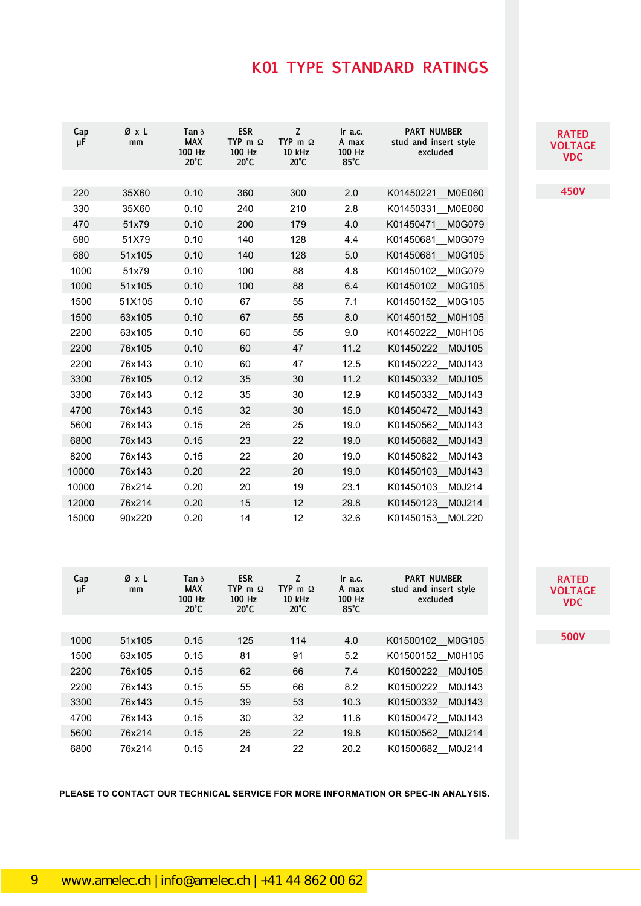| <b>RATED</b> |
|--------------|
| VOLTAGE      |
| VDC          |

**450V 450V**

**RATED RATED VOLTAGE VOLTAGE VDC VDC**

**500V 500V**

| Cap<br>μF | ØxL<br>mm | Tan $\delta$<br><b>MAX</b><br>100 Hz<br>$20^{\circ}$ C | <b>ESR</b><br>TYP m $\Omega$<br>100 Hz<br>$20^{\circ}$ C | Z<br>TYP m $\Omega$<br>10 kHz<br>$20^{\circ}$ C | Ir a.c.<br>A max<br>100 Hz<br>$85^{\circ}$ C | <b>PART NUMBER</b><br>stud and insert style<br>excluded |
|-----------|-----------|--------------------------------------------------------|----------------------------------------------------------|-------------------------------------------------|----------------------------------------------|---------------------------------------------------------|
| 220       | 35X60     | 0.10                                                   | 360                                                      | 300                                             | 2.0                                          | K01450221<br><b>M0E060</b>                              |
| 330       | 35X60     | 0.10                                                   | 240                                                      | 210                                             | 2.8                                          | K01450331<br>M0E060                                     |
| 470       | 51x79     | 0.10                                                   | 200                                                      | 179                                             | 4.0                                          | K01450471<br>M0G079                                     |
| 680       | 51X79     | 0.10                                                   | 140                                                      | 128                                             | 4.4                                          | M0G079<br>K01450681                                     |
| 680       | 51x105    | 0.10                                                   | 140                                                      | 128                                             | 5.0                                          | K01450681<br>M0G105                                     |
| 1000      | 51x79     | 0.10                                                   | 100                                                      | 88                                              | 4.8                                          | K01450102<br>M0G079                                     |
| 1000      | 51x105    | 0.10                                                   | 100                                                      | 88                                              | 6.4                                          | K01450102<br>M0G105                                     |
| 1500      | 51X105    | 0.10                                                   | 67                                                       | 55                                              | 7.1                                          | K01450152<br>M0G105                                     |
| 1500      | 63x105    | 0.10                                                   | 67                                                       | 55                                              | 8.0                                          | K01450152<br>M0H105                                     |
|           | 63x105    |                                                        | 60                                                       |                                                 |                                              | M0H105                                                  |
| 2200      |           | 0.10                                                   |                                                          | 55                                              | 9.0                                          | K01450222                                               |
| 2200      | 76x105    | 0.10                                                   | 60                                                       | 47                                              | 11.2                                         | M0J105<br>K01450222                                     |
| 2200      | 76x143    | 0.10                                                   | 60                                                       | 47                                              | 12.5                                         | K01450222<br>M0J143                                     |
| 3300      | 76x105    | 0.12                                                   | 35                                                       | 30                                              | 11.2                                         | K01450332<br>M0J105                                     |
| 3300      | 76x143    | 0.12                                                   | 35                                                       | 30                                              | 12.9                                         | K01450332<br>M0J143                                     |
| 4700      | 76x143    | 0.15                                                   | 32                                                       | 30                                              | 15.0                                         | K01450472<br>M0J143                                     |
| 5600      | 76x143    | 0.15                                                   | 26                                                       | 25                                              | 19.0                                         | K01450562<br>M0J143                                     |
| 6800      | 76x143    | 0.15                                                   | 23                                                       | 22                                              | 19.0                                         | K01450682<br>M0J143                                     |
| 8200      | 76x143    | 0.15                                                   | 22                                                       | 20                                              | 19.0                                         | K01450822<br>M0J143                                     |
| 10000     | 76x143    | 0.20                                                   | 22                                                       | 20                                              | 19.0                                         | M0J143<br>K01450103                                     |
| 10000     | 76x214    | 0.20                                                   | 20                                                       | 19                                              | 23.1                                         | K01450103<br>M0J214                                     |
| 12000     | 76x214    | 0.20                                                   | 15                                                       | 12                                              | 29.8                                         | K01450123<br>M0J214                                     |
| 15000     | 90x220    | 0.20                                                   | 14                                                       | 12                                              | 32.6                                         | M0L220<br>K01450153                                     |

| Cap<br>μF | ØxL<br>mm | Tan $\delta$<br><b>MAX</b><br>100 Hz<br>$20^{\circ}$ C | <b>ESR</b><br>TYP m $\Omega$<br>100 Hz<br>$20^{\circ}$ C | Z<br>TYP m $\Omega$<br><b>10 kHz</b><br>$20^{\circ}$ C | $\ln$ a.c.<br>A max<br>100 Hz<br>$85^{\circ}$ C | <b>PART NUMBER</b><br>stud and insert style<br>excluded |
|-----------|-----------|--------------------------------------------------------|----------------------------------------------------------|--------------------------------------------------------|-------------------------------------------------|---------------------------------------------------------|
|           |           |                                                        |                                                          |                                                        |                                                 |                                                         |
| 1000      | 51x105    | 0.15                                                   | 125                                                      | 114                                                    | 4.0                                             | K01500102 M0G105                                        |
| 1500      | 63x105    | 0.15                                                   | 81                                                       | 91                                                     | 5.2                                             | K01500152 M0H105                                        |
| 2200      | 76x105    | 0.15                                                   | 62                                                       | 66                                                     | 7.4                                             | K01500222 M0J105                                        |
| 2200      | 76x143    | 0.15                                                   | 55                                                       | 66                                                     | 8.2                                             | K01500222 M0J143                                        |
| 3300      | 76x143    | 0.15                                                   | 39                                                       | 53                                                     | 10.3                                            | K01500332 M0J143                                        |
| 4700      | 76x143    | 0.15                                                   | 30                                                       | 32                                                     | 11.6                                            | K01500472 M0J143                                        |
| 5600      | 76x214    | 0.15                                                   | 26                                                       | 22                                                     | 19.8                                            | K01500562 M0J214                                        |
| 6800      | 76x214    | 0.15                                                   | 24                                                       | 22                                                     | 20.2                                            | K01500682 M0J214                                        |

**PLEASE TO CONTACT OUR TECHNICAL SERVICE FOR MORE INFORMATION OR SPEC-IN ANALYSIS.**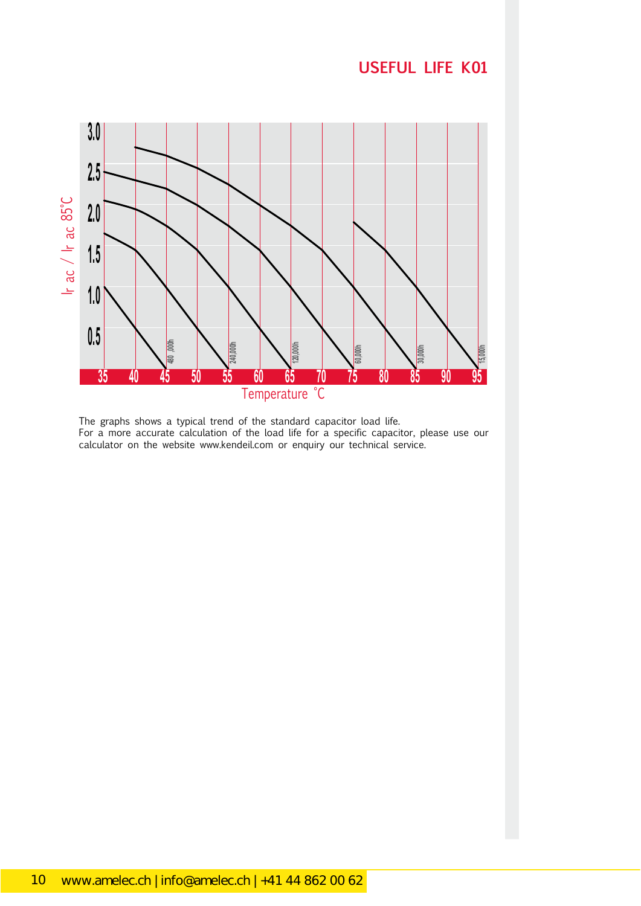### **USEFUL LIFE K01**



The graphs shows a typical trend of the standard capacitor load life. For a more accurate calculation of the load life for a specific capacitor, please use our calculator on the website www.kendeil.com or enquiry our technical service.